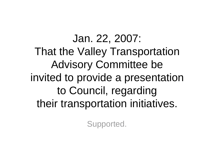Jan. 22, 2007: That the Valley Transportation Advisory Committee be invited to provide a presentation to Council, regarding their transportation initiatives.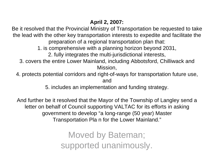## **April 2, 2007:**

Be it resolved that the Provincial Ministry of Transportation be requested to take the lead with the other key transportation interests to expedite and facilitate the preparation of a regional transportation plan that:

1. is comprehensive with a planning horizon beyond 2031,

2. fully integrates the multi-jurisdictional interests,

3. covers the entire Lower Mainland, including Abbotsford, Chilliwack and Mission,

4. protects potential corridors and right-of-ways for transportation future use, and

5. includes an implementation and funding strategy.

And further be it resolved that the Mayor of the Township of Langley send a letter on behalf of Council supporting VALTAC for its efforts in asking government to develop "a long-range (50 year) Master Transportation Pla n for the Lower Mainland."

> Moved by Bateman; supported unanimously.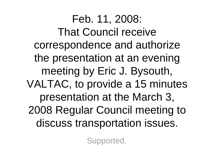Feb. 11, 2008: That Council receive correspondence and authorize the presentation at an evening meeting by Eric J. Bysouth, VALTAC, to provide a 15 minutes presentation at the March 3, 2008 Regular Council meeting to discuss transportation issues.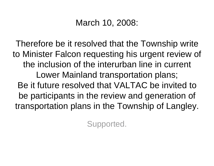## March 10, 2008:

Therefore be it resolved that the Township write to Minister Falcon requesting his urgent review of the inclusion of the interurban line in current Lower Mainland transportation plans; Be it future resolved that VALTAC be invited to be participants in the review and generation of transportation plans in the Township of Langley.